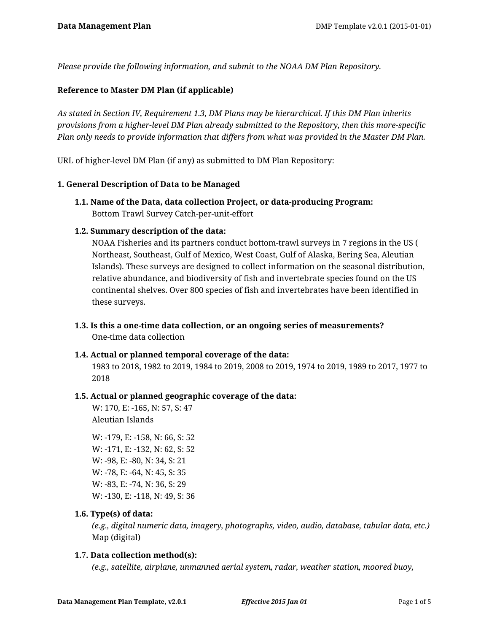*Please provide the following information, and submit to the NOAA DM Plan Repository.*

# **Reference to Master DM Plan (if applicable)**

*As stated in Section IV, Requirement 1.3, DM Plans may be hierarchical. If this DM Plan inherits provisions from a higher-level DM Plan already submitted to the Repository, then this more-specific Plan only needs to provide information that differs from what was provided in the Master DM Plan.*

URL of higher-level DM Plan (if any) as submitted to DM Plan Repository:

#### **1. General Description of Data to be Managed**

**1.1. Name of the Data, data collection Project, or data-producing Program:** Bottom Trawl Survey Catch-per-unit-effort

### **1.2. Summary description of the data:**

NOAA Fisheries and its partners conduct bottom-trawl surveys in 7 regions in the US ( Northeast, Southeast, Gulf of Mexico, West Coast, Gulf of Alaska, Bering Sea, Aleutian Islands). These surveys are designed to collect information on the seasonal distribution, relative abundance, and biodiversity of fish and invertebrate species found on the US continental shelves. Over 800 species of fish and invertebrates have been identified in these surveys.

**1.3. Is this a one-time data collection, or an ongoing series of measurements?** One-time data collection

#### **1.4. Actual or planned temporal coverage of the data:**

1983 to 2018, 1982 to 2019, 1984 to 2019, 2008 to 2019, 1974 to 2019, 1989 to 2017, 1977 to 2018

#### **1.5. Actual or planned geographic coverage of the data:**

W: 170, E: -165, N: 57, S: 47 Aleutian Islands

W: -179, E: -158, N: 66, S: 52 W: -171, E: -132, N: 62, S: 52 W: -98, E: -80, N: 34, S: 21 W: -78, E: -64, N: 45, S: 35 W: -83, E: -74, N: 36, S: 29 W: -130, E: -118, N: 49, S: 36

#### **1.6. Type(s) of data:**

*(e.g., digital numeric data, imagery, photographs, video, audio, database, tabular data, etc.)* Map (digital)

#### **1.7. Data collection method(s):**

*(e.g., satellite, airplane, unmanned aerial system, radar, weather station, moored buoy,*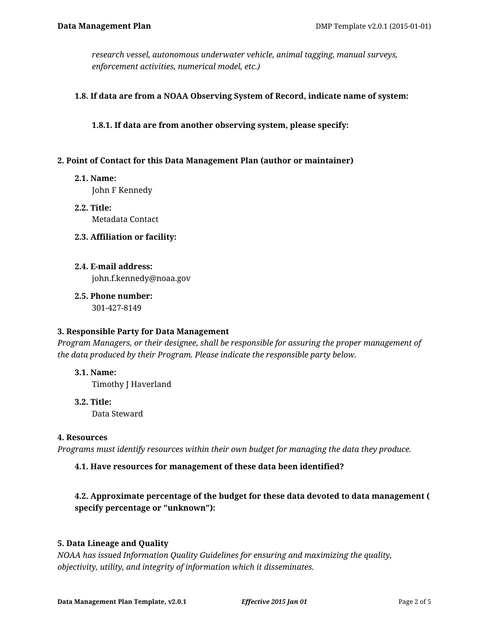*research vessel, autonomous underwater vehicle, animal tagging, manual surveys, enforcement activities, numerical model, etc.)*

### **1.8. If data are from a NOAA Observing System of Record, indicate name of system:**

**1.8.1. If data are from another observing system, please specify:**

### **2. Point of Contact for this Data Management Plan (author or maintainer)**

**2.1. Name:**

John F Kennedy

- **2.2. Title:** Metadata Contact
- **2.3. Affiliation or facility:**
- **2.4. E-mail address:**

john.f.kennedy@noaa.gov

**2.5. Phone number:** 301-427-8149

#### **3. Responsible Party for Data Management**

*Program Managers, or their designee, shall be responsible for assuring the proper management of the data produced by their Program. Please indicate the responsible party below.*

**3.1. Name:** Timothy J Haverland

**3.2. Title:** Data Steward

#### **4. Resources**

*Programs must identify resources within their own budget for managing the data they produce.*

# **4.1. Have resources for management of these data been identified?**

# **4.2. Approximate percentage of the budget for these data devoted to data management ( specify percentage or "unknown"):**

# **5. Data Lineage and Quality**

*NOAA has issued Information Quality Guidelines for ensuring and maximizing the quality, objectivity, utility, and integrity of information which it disseminates.*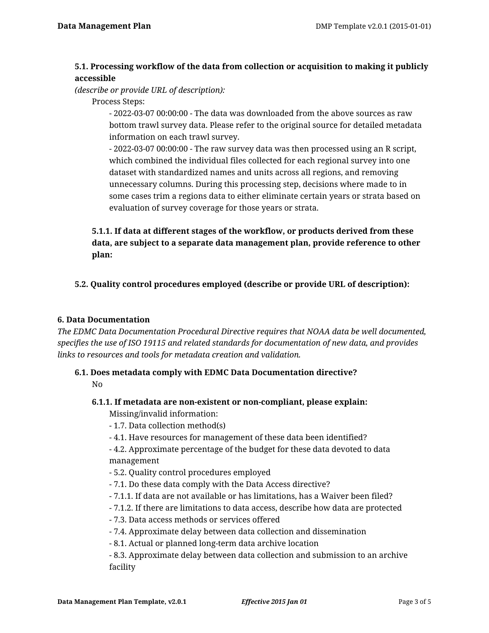# **5.1. Processing workflow of the data from collection or acquisition to making it publicly accessible**

*(describe or provide URL of description):*

Process Steps:

- 2022-03-07 00:00:00 - The data was downloaded from the above sources as raw bottom trawl survey data. Please refer to the original source for detailed metadata information on each trawl survey.

- 2022-03-07 00:00:00 - The raw survey data was then processed using an R script, which combined the individual files collected for each regional survey into one dataset with standardized names and units across all regions, and removing unnecessary columns. During this processing step, decisions where made to in some cases trim a regions data to either eliminate certain years or strata based on evaluation of survey coverage for those years or strata.

# **5.1.1. If data at different stages of the workflow, or products derived from these data, are subject to a separate data management plan, provide reference to other plan:**

# **5.2. Quality control procedures employed (describe or provide URL of description):**

### **6. Data Documentation**

*The EDMC Data Documentation Procedural Directive requires that NOAA data be well documented, specifies the use of ISO 19115 and related standards for documentation of new data, and provides links to resources and tools for metadata creation and validation.*

#### **6.1. Does metadata comply with EDMC Data Documentation directive?** No

#### **6.1.1. If metadata are non-existent or non-compliant, please explain:**

Missing/invalid information:

- 1.7. Data collection method(s)
- 4.1. Have resources for management of these data been identified?

- 4.2. Approximate percentage of the budget for these data devoted to data management

- 5.2. Quality control procedures employed
- 7.1. Do these data comply with the Data Access directive?
- 7.1.1. If data are not available or has limitations, has a Waiver been filed?
- 7.1.2. If there are limitations to data access, describe how data are protected
- 7.3. Data access methods or services offered
- 7.4. Approximate delay between data collection and dissemination
- 8.1. Actual or planned long-term data archive location

- 8.3. Approximate delay between data collection and submission to an archive facility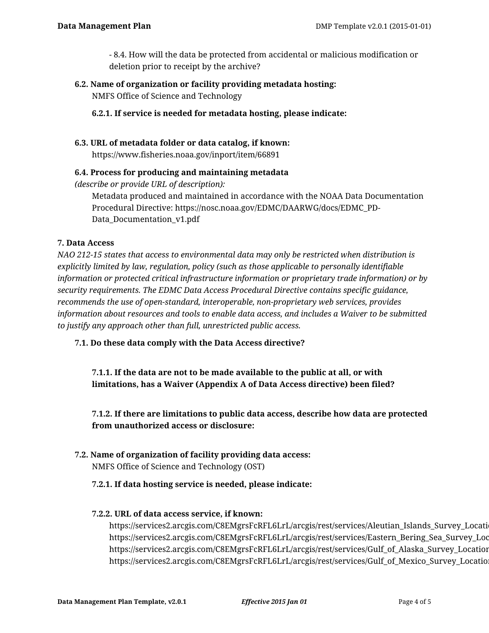- 8.4. How will the data be protected from accidental or malicious modification or deletion prior to receipt by the archive?

**6.2. Name of organization or facility providing metadata hosting:** NMFS Office of Science and Technology

**6.2.1. If service is needed for metadata hosting, please indicate:**

### **6.3. URL of metadata folder or data catalog, if known:**

https://www.fisheries.noaa.gov/inport/item/66891

### **6.4. Process for producing and maintaining metadata**

*(describe or provide URL of description):*

Metadata produced and maintained in accordance with the NOAA Data Documentation Procedural Directive: https://nosc.noaa.gov/EDMC/DAARWG/docs/EDMC\_PD-Data\_Documentation\_v1.pdf

### **7. Data Access**

*NAO 212-15 states that access to environmental data may only be restricted when distribution is explicitly limited by law, regulation, policy (such as those applicable to personally identifiable information or protected critical infrastructure information or proprietary trade information) or by security requirements. The EDMC Data Access Procedural Directive contains specific guidance, recommends the use of open-standard, interoperable, non-proprietary web services, provides information about resources and tools to enable data access, and includes a Waiver to be submitted to justify any approach other than full, unrestricted public access.*

# **7.1. Do these data comply with the Data Access directive?**

**7.1.1. If the data are not to be made available to the public at all, or with limitations, has a Waiver (Appendix A of Data Access directive) been filed?**

**7.1.2. If there are limitations to public data access, describe how data are protected from unauthorized access or disclosure:**

**7.2. Name of organization of facility providing data access:** NMFS Office of Science and Technology (OST)

#### **7.2.1. If data hosting service is needed, please indicate:**

### **7.2.2. URL of data access service, if known:**

https://services2.arcgis.com/C8EMgrsFcRFL6LrL/arcgis/rest/services/Aleutian\_Islands\_Survey\_Locati https://services2.arcgis.com/C8EMgrsFcRFL6LrL/arcgis/rest/services/Eastern\_Bering\_Sea\_Survey\_Loc https://services2.arcgis.com/C8EMgrsFcRFL6LrL/arcgis/rest/services/Gulf\_of\_Alaska\_Survey\_Location https://services2.arcgis.com/C8EMgrsFcRFL6LrL/arcgis/rest/services/Gulf\_of\_Mexico\_Survey\_Locatio